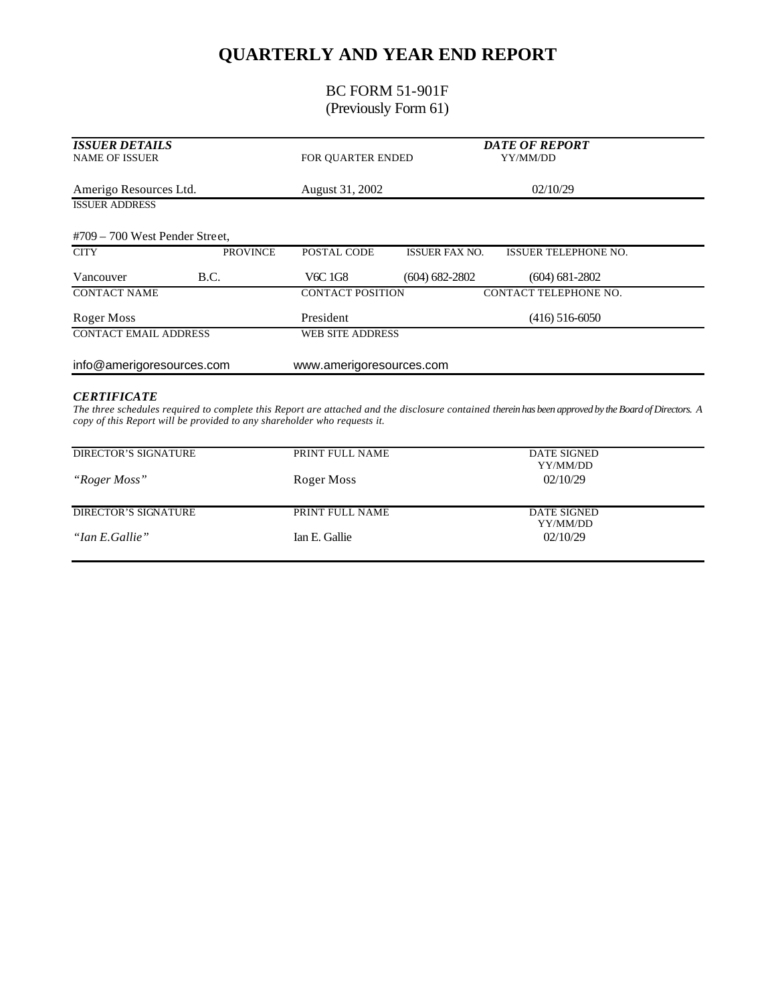## **QUARTERLY AND YEAR END REPORT**

### BC FORM 51-901F (Previously Form 61)

| <b>ISSUER DETAILS</b><br><b>NAME OF ISSUER</b> |                 | FOR OUARTER ENDED        |                       | <b>DATE OF REPORT</b><br>YY/MM/DD |  |
|------------------------------------------------|-----------------|--------------------------|-----------------------|-----------------------------------|--|
| Amerigo Resources Ltd.                         |                 | August 31, 2002          |                       | 02/10/29                          |  |
| <b>ISSUER ADDRESS</b>                          |                 |                          |                       |                                   |  |
| $#709 - 700$ West Pender Street,               |                 |                          |                       |                                   |  |
| <b>CITY</b>                                    | <b>PROVINCE</b> | POSTAL CODE              | <b>ISSUER FAX NO.</b> | <b>ISSUER TELEPHONE NO.</b>       |  |
| Vancouver                                      | B.C.            | V6C 1G8                  | $(604) 682 - 2802$    | $(604) 681 - 2802$                |  |
| <b>CONTACT NAME</b>                            |                 | <b>CONTACT POSITION</b>  |                       | CONTACT TELEPHONE NO.             |  |
| Roger Moss                                     |                 | President                |                       | $(416)$ 516-6050                  |  |
| <b>CONTACT EMAIL ADDRESS</b>                   |                 | WEB SITE ADDRESS         |                       |                                   |  |
| info@amerigoresources.com                      |                 | www.amerigoresources.com |                       |                                   |  |
| <b>CERTIFICATE</b>                             |                 |                          |                       |                                   |  |

*The three schedules required to complete this Report are attached and the disclosure contained therein has been approved by the Board of Directors. A copy of this Report will be provided to any shareholder who requests it.*

| DIRECTOR'S SIGNATURE | PRINT FULL NAME | DATE SIGNED<br>YY/MM/DD |
|----------------------|-----------------|-------------------------|
| "Roger Moss"         | Roger Moss      | 02/10/29                |
| DIRECTOR'S SIGNATURE | PRINT FULL NAME | DATE SIGNED             |
| "Ian E.Gallie"       | Ian E. Gallie   | YY/MM/DD<br>02/10/29    |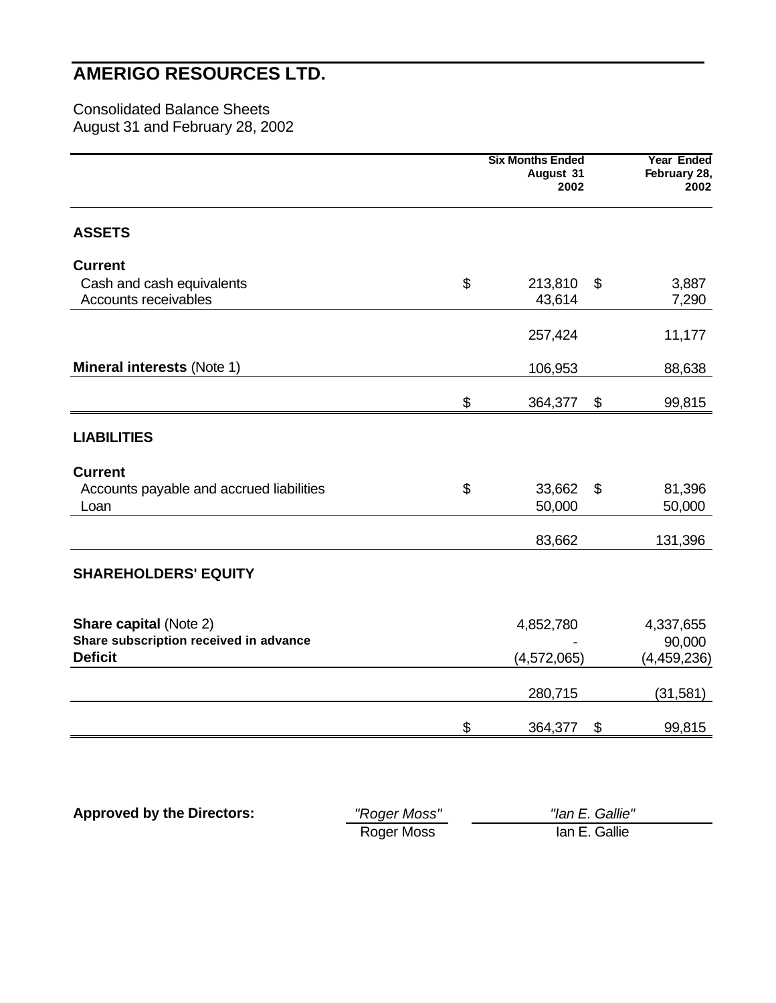Consolidated Balance Sheets August 31 and February 28, 2002

|                                                          | <b>Six Months Ended</b><br>August 31<br>2002 |                           | <b>Year Ended</b><br>February 28,<br>2002 |
|----------------------------------------------------------|----------------------------------------------|---------------------------|-------------------------------------------|
| <b>ASSETS</b>                                            |                                              |                           |                                           |
| <b>Current</b>                                           |                                              |                           |                                           |
| Cash and cash equivalents<br>Accounts receivables        | \$<br>213,810<br>43,614                      | $\boldsymbol{\mathsf{S}}$ | 3,887<br>7,290                            |
|                                                          | 257,424                                      |                           | 11,177                                    |
| <b>Mineral interests (Note 1)</b>                        | 106,953                                      |                           | 88,638                                    |
|                                                          | \$<br>364,377                                | \$                        | 99,815                                    |
| <b>LIABILITIES</b>                                       |                                              |                           |                                           |
| <b>Current</b>                                           |                                              |                           |                                           |
| Accounts payable and accrued liabilities<br>Loan         | \$<br>33,662<br>50,000                       | \$                        | 81,396<br>50,000                          |
|                                                          | 83,662                                       |                           | 131,396                                   |
| <b>SHAREHOLDERS' EQUITY</b>                              |                                              |                           |                                           |
| <b>Share capital (Note 2)</b>                            | 4,852,780                                    |                           | 4,337,655                                 |
| Share subscription received in advance<br><b>Deficit</b> | (4,572,065)                                  |                           | 90,000<br>(4,459,236)                     |
|                                                          | 280,715                                      |                           | (31, 581)                                 |
|                                                          | \$<br>364,377                                | \$                        | 99,815                                    |

| <b>Approved by the Directors:</b> | "Roger Moss" | "lan E. Gallie" |
|-----------------------------------|--------------|-----------------|
|                                   | Roger Moss   | lan E. Gallie   |

<u>—</u>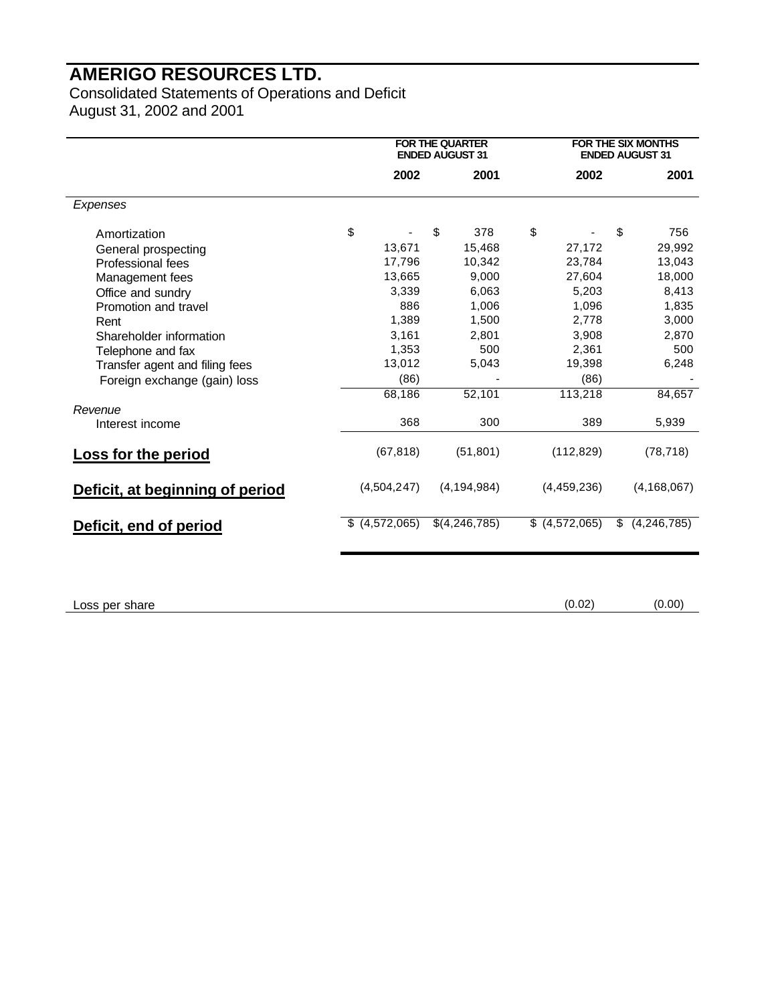Consolidated Statements of Operations and Deficit August 31, 2002 and 2001

|                                 |                     | <b>FOR THE QUARTER</b><br><b>ENDED AUGUST 31</b> |               |               | <b>FOR THE SIX MONTHS</b><br><b>ENDED AUGUST 31</b> |
|---------------------------------|---------------------|--------------------------------------------------|---------------|---------------|-----------------------------------------------------|
|                                 | 2002                |                                                  | 2001          | 2002          | 2001                                                |
| Expenses                        |                     |                                                  |               |               |                                                     |
| Amortization                    | \$                  | \$                                               | 378           | \$            | \$<br>756                                           |
| General prospecting             | 13,671              |                                                  | 15,468        | 27,172        | 29,992                                              |
| Professional fees               | 17,796              |                                                  | 10,342        | 23,784        | 13,043                                              |
| Management fees                 | 13,665              |                                                  | 9,000         | 27,604        | 18,000                                              |
| Office and sundry               | 3,339               |                                                  | 6,063         | 5,203         | 8,413                                               |
| Promotion and travel            | 886                 |                                                  | 1,006         | 1,096         | 1,835                                               |
| Rent                            | 1,389               |                                                  | 1,500         | 2,778         | 3,000                                               |
| Shareholder information         | 3,161               |                                                  | 2,801         | 3,908         | 2,870                                               |
| Telephone and fax               | 1,353               |                                                  | 500           | 2,361         | 500                                                 |
| Transfer agent and filing fees  | 13,012              |                                                  | 5,043         | 19,398        | 6,248                                               |
| Foreign exchange (gain) loss    | (86)                |                                                  |               | (86)          |                                                     |
|                                 | 68,186              |                                                  | 52,101        | 113,218       | 84,657                                              |
| Revenue                         |                     |                                                  |               |               |                                                     |
| Interest income                 | 368                 |                                                  | 300           | 389           | 5,939                                               |
| Loss for the period             | (67, 818)           |                                                  | (51, 801)     | (112, 829)    | (78, 718)                                           |
| Deficit, at beginning of period | (4,504,247)         |                                                  | (4, 194, 984) | (4,459,236)   | (4, 168, 067)                                       |
| Deficit, end of period          | (4, 572, 065)<br>S. |                                                  | \$(4,246,785) | (4, 572, 065) | \$<br>(4, 246, 785)                                 |
|                                 |                     |                                                  |               |               |                                                     |

Loss per share (0.00) (0.00)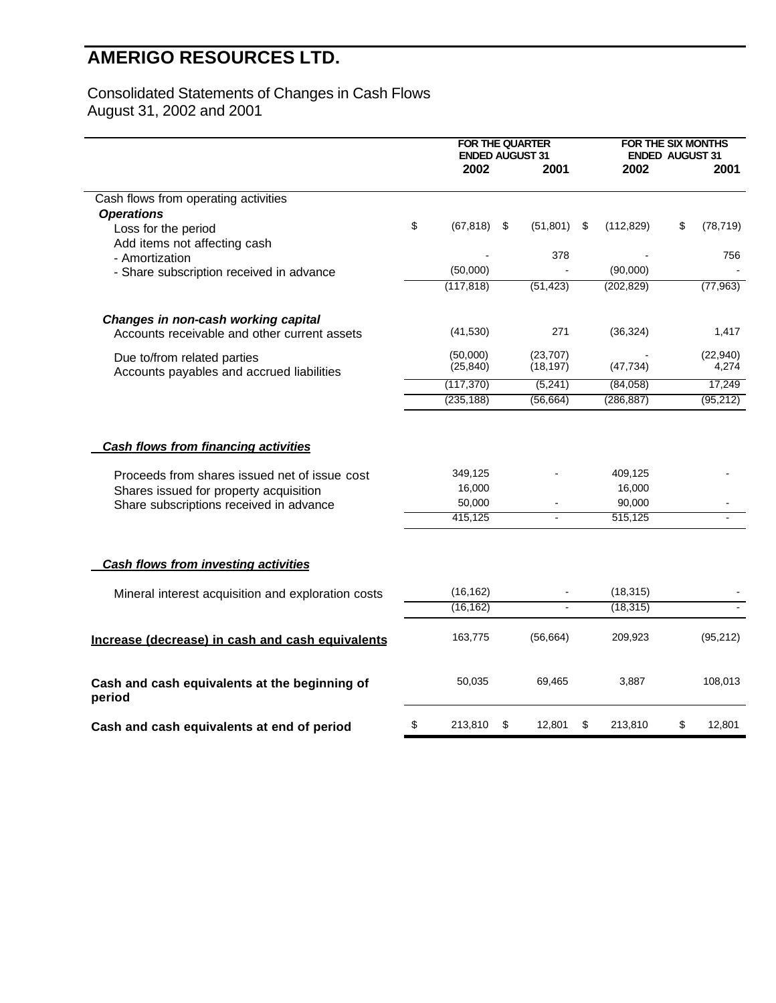#### Consolidated Statements of Changes in Cash Flows August 31, 2002 and 2001

|                                                                                                                                                                                   | <b>FOR THE QUARTER</b><br><b>ENDED AUGUST 31</b> |      |                          |      | <b>FOR THE SIX MONTHS</b>              | <b>ENDED AUGUST 31</b> |           |
|-----------------------------------------------------------------------------------------------------------------------------------------------------------------------------------|--------------------------------------------------|------|--------------------------|------|----------------------------------------|------------------------|-----------|
|                                                                                                                                                                                   | 2002                                             |      | 2001                     |      | 2002                                   |                        | 2001      |
|                                                                                                                                                                                   |                                                  |      |                          |      |                                        |                        |           |
| Cash flows from operating activities                                                                                                                                              |                                                  |      |                          |      |                                        |                        |           |
| <b>Operations</b>                                                                                                                                                                 | \$<br>(67, 818)                                  | - \$ | (51, 801)                | - \$ |                                        | \$                     |           |
| Loss for the period                                                                                                                                                               |                                                  |      |                          |      | (112, 829)                             |                        | (78, 719) |
| Add items not affecting cash                                                                                                                                                      |                                                  |      | 378                      |      |                                        |                        | 756       |
| - Amortization                                                                                                                                                                    | (50,000)                                         |      |                          |      | (90,000)                               |                        |           |
| - Share subscription received in advance                                                                                                                                          | (117, 818)                                       |      | (51, 423)                |      | (202, 829)                             |                        | (77, 963) |
|                                                                                                                                                                                   |                                                  |      |                          |      |                                        |                        |           |
| Changes in non-cash working capital                                                                                                                                               |                                                  |      |                          |      |                                        |                        |           |
| Accounts receivable and other current assets                                                                                                                                      | (41, 530)                                        |      | 271                      |      | (36, 324)                              |                        | 1,417     |
| Due to/from related parties                                                                                                                                                       | (50,000)                                         |      | (23, 707)                |      |                                        |                        | (22, 940) |
| Accounts payables and accrued liabilities                                                                                                                                         | (25, 840)                                        |      | (18, 197)                |      | (47, 734)                              |                        | 4,274     |
|                                                                                                                                                                                   | (117, 370)                                       |      | (5, 241)                 |      | (84,058)                               |                        | 17,249    |
|                                                                                                                                                                                   | (235, 188)                                       |      | (56, 664)                |      | (286, 887)                             |                        | (95, 212) |
| <b>Cash flows from financing activities</b><br>Proceeds from shares issued net of issue cost<br>Shares issued for property acquisition<br>Share subscriptions received in advance | 349,125<br>16,000<br>50,000<br>415,125           |      | $\overline{\phantom{a}}$ |      | 409,125<br>16,000<br>90,000<br>515,125 |                        |           |
|                                                                                                                                                                                   |                                                  |      |                          |      |                                        |                        |           |
| <b>Cash flows from investing activities</b>                                                                                                                                       |                                                  |      |                          |      |                                        |                        |           |
| Mineral interest acquisition and exploration costs                                                                                                                                | (16, 162)                                        |      |                          |      | (18, 315)                              |                        |           |
|                                                                                                                                                                                   | (16, 162)                                        |      | $\mathbf{r}$             |      | (18, 315)                              |                        |           |
| Increase (decrease) in cash and cash equivalents                                                                                                                                  | 163.775                                          |      | (56, 664)                |      | 209.923                                |                        | (95, 212) |
| Cash and cash equivalents at the beginning of<br>period                                                                                                                           | 50,035                                           |      | 69,465                   |      | 3,887                                  |                        | 108,013   |
| Cash and cash equivalents at end of period                                                                                                                                        | \$<br>213,810                                    | \$   | 12,801                   | \$   | 213,810                                | \$                     | 12,801    |